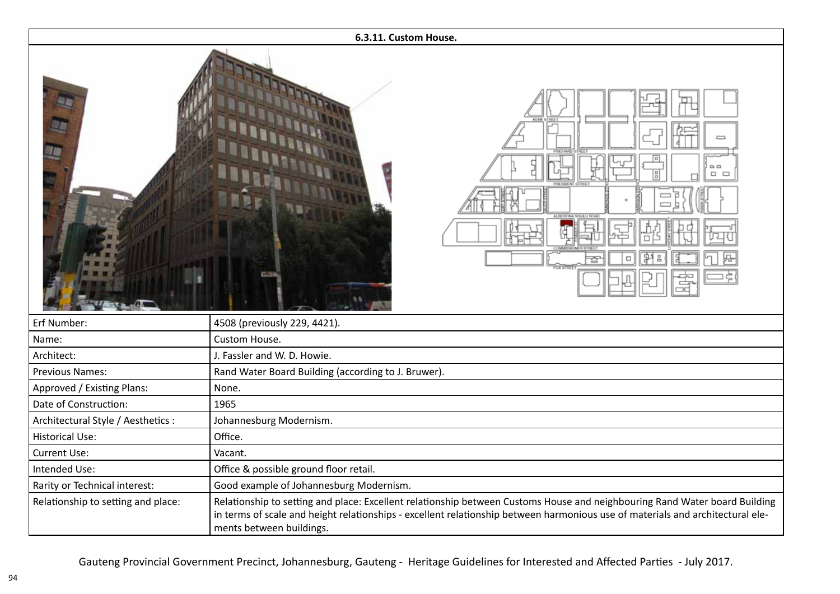| 6.3.11. Custom House.              |                                                                                                                                                                                                                                                                                          |
|------------------------------------|------------------------------------------------------------------------------------------------------------------------------------------------------------------------------------------------------------------------------------------------------------------------------------------|
|                                    | $\mathbf{D}$<br>$\Box$ $\Box$<br>▭                                                                                                                                                                                                                                                       |
| Erf Number:                        | 4508 (previously 229, 4421).                                                                                                                                                                                                                                                             |
| Name:                              | Custom House.                                                                                                                                                                                                                                                                            |
| Architect:                         | J. Fassler and W. D. Howie.                                                                                                                                                                                                                                                              |
| Previous Names:                    | Rand Water Board Building (according to J. Bruwer).                                                                                                                                                                                                                                      |
| Approved / Existing Plans:         | None.                                                                                                                                                                                                                                                                                    |
| Date of Construction:              | 1965                                                                                                                                                                                                                                                                                     |
| Architectural Style / Aesthetics : | Johannesburg Modernism.                                                                                                                                                                                                                                                                  |
| <b>Historical Use:</b>             | Office.                                                                                                                                                                                                                                                                                  |
| Current Use:                       | Vacant.                                                                                                                                                                                                                                                                                  |
| Intended Use:                      | Office & possible ground floor retail.                                                                                                                                                                                                                                                   |
| Rarity or Technical interest:      | Good example of Johannesburg Modernism.                                                                                                                                                                                                                                                  |
| Relationship to setting and place: | Relationship to setting and place: Excellent relationship between Customs House and neighbouring Rand Water board Building<br>in terms of scale and height relationships - excellent relationship between harmonious use of materials and architectural ele-<br>ments between buildings. |

Gauteng Provincial Government Precinct, Johannesburg, Gauteng - Heritage Guidelines for Interested and Affected Parties - July 2017.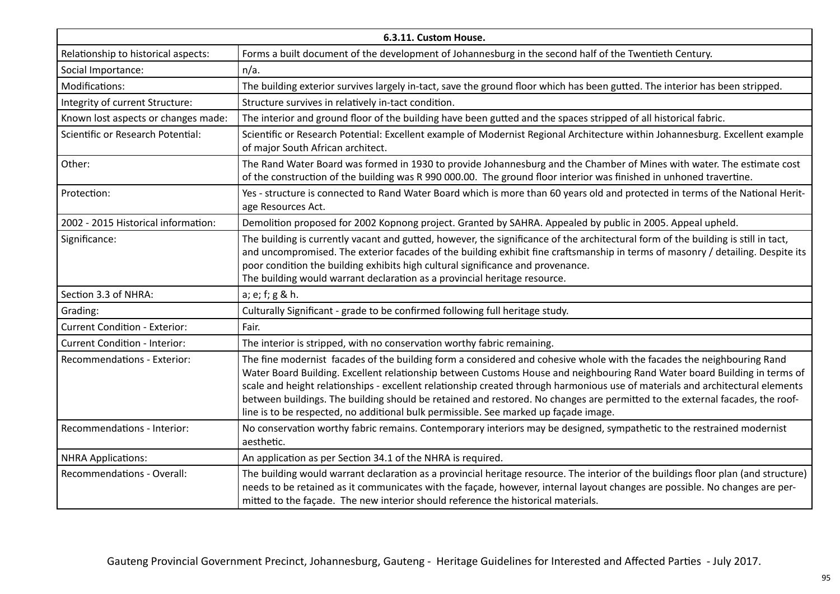| 6.3.11. Custom House.                |                                                                                                                                                                                                                                                                                                                                                                                                                                                                                                                                                                                                               |  |
|--------------------------------------|---------------------------------------------------------------------------------------------------------------------------------------------------------------------------------------------------------------------------------------------------------------------------------------------------------------------------------------------------------------------------------------------------------------------------------------------------------------------------------------------------------------------------------------------------------------------------------------------------------------|--|
| Relationship to historical aspects:  | Forms a built document of the development of Johannesburg in the second half of the Twentieth Century.                                                                                                                                                                                                                                                                                                                                                                                                                                                                                                        |  |
| Social Importance:                   | $n/a$ .                                                                                                                                                                                                                                                                                                                                                                                                                                                                                                                                                                                                       |  |
| Modifications:                       | The building exterior survives largely in-tact, save the ground floor which has been gutted. The interior has been stripped.                                                                                                                                                                                                                                                                                                                                                                                                                                                                                  |  |
| Integrity of current Structure:      | Structure survives in relatively in-tact condition.                                                                                                                                                                                                                                                                                                                                                                                                                                                                                                                                                           |  |
| Known lost aspects or changes made:  | The interior and ground floor of the building have been gutted and the spaces stripped of all historical fabric.                                                                                                                                                                                                                                                                                                                                                                                                                                                                                              |  |
| Scientific or Research Potential:    | Scientific or Research Potential: Excellent example of Modernist Regional Architecture within Johannesburg. Excellent example<br>of major South African architect.                                                                                                                                                                                                                                                                                                                                                                                                                                            |  |
| Other:                               | The Rand Water Board was formed in 1930 to provide Johannesburg and the Chamber of Mines with water. The estimate cost<br>of the construction of the building was R 990 000.00. The ground floor interior was finished in unhoned travertine.                                                                                                                                                                                                                                                                                                                                                                 |  |
| Protection:                          | Yes - structure is connected to Rand Water Board which is more than 60 years old and protected in terms of the National Herit-<br>age Resources Act.                                                                                                                                                                                                                                                                                                                                                                                                                                                          |  |
| 2002 - 2015 Historical information:  | Demolition proposed for 2002 Kopnong project. Granted by SAHRA. Appealed by public in 2005. Appeal upheld.                                                                                                                                                                                                                                                                                                                                                                                                                                                                                                    |  |
| Significance:                        | The building is currently vacant and gutted, however, the significance of the architectural form of the building is still in tact,<br>and uncompromised. The exterior facades of the building exhibit fine craftsmanship in terms of masonry / detailing. Despite its<br>poor condition the building exhibits high cultural significance and provenance.<br>The building would warrant declaration as a provincial heritage resource.                                                                                                                                                                         |  |
| Section 3.3 of NHRA:                 | a; e; f; g & h.                                                                                                                                                                                                                                                                                                                                                                                                                                                                                                                                                                                               |  |
| Grading:                             | Culturally Significant - grade to be confirmed following full heritage study.                                                                                                                                                                                                                                                                                                                                                                                                                                                                                                                                 |  |
| <b>Current Condition - Exterior:</b> | Fair.                                                                                                                                                                                                                                                                                                                                                                                                                                                                                                                                                                                                         |  |
| <b>Current Condition - Interior:</b> | The interior is stripped, with no conservation worthy fabric remaining.                                                                                                                                                                                                                                                                                                                                                                                                                                                                                                                                       |  |
| Recommendations - Exterior:          | The fine modernist facades of the building form a considered and cohesive whole with the facades the neighbouring Rand<br>Water Board Building. Excellent relationship between Customs House and neighbouring Rand Water board Building in terms of<br>scale and height relationships - excellent relationship created through harmonious use of materials and architectural elements<br>between buildings. The building should be retained and restored. No changes are permitted to the external facades, the roof-<br>line is to be respected, no additional bulk permissible. See marked up façade image. |  |
| Recommendations - Interior:          | No conservation worthy fabric remains. Contemporary interiors may be designed, sympathetic to the restrained modernist<br>aesthetic.                                                                                                                                                                                                                                                                                                                                                                                                                                                                          |  |
| <b>NHRA Applications:</b>            | An application as per Section 34.1 of the NHRA is required.                                                                                                                                                                                                                                                                                                                                                                                                                                                                                                                                                   |  |
| Recommendations - Overall:           | The building would warrant declaration as a provincial heritage resource. The interior of the buildings floor plan (and structure)<br>needs to be retained as it communicates with the façade, however, internal layout changes are possible. No changes are per-<br>mitted to the façade. The new interior should reference the historical materials.                                                                                                                                                                                                                                                        |  |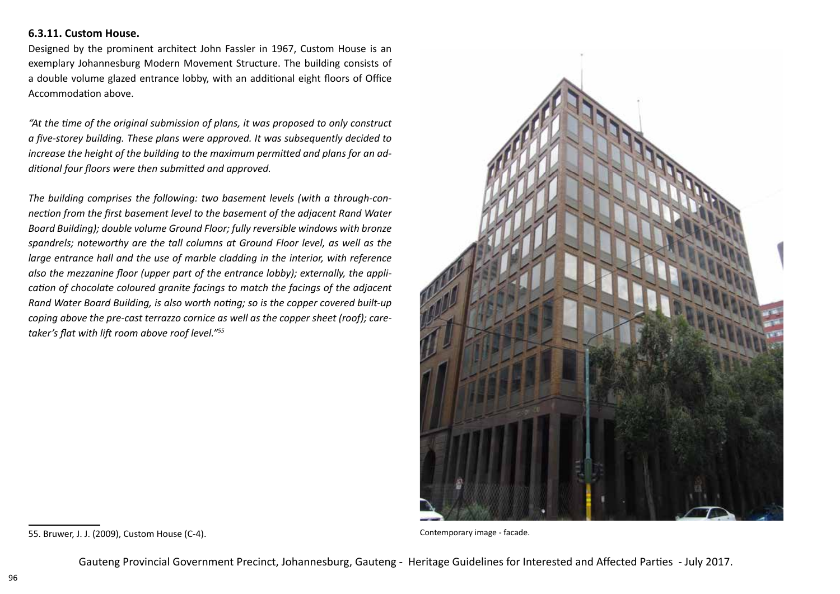## **6.3.11. Custom House.**

Designed by the prominent architect John Fassler in 1967, Custom House is an exemplary Johannesburg Modern Movement Structure. The building consists of a double volume glazed entrance lobby, with an additional eight floors of Office Accommodation above.

*"At the time of the original submission of plans, it was proposed to only construct a five-storey building. These plans were approved. It was subsequently decided to increase the height of the building to the maximum permitted and plans for an additional four floors were then submitted and approved.*

*The building comprises the following: two basement levels (with a through-connection from the first basement level to the basement of the adjacent Rand Water Board Building); double volume Ground Floor; fully reversible windows with bronze spandrels; noteworthy are the tall columns at Ground Floor level, as well as the large entrance hall and the use of marble cladding in the interior, with reference also the mezzanine floor (upper part of the entrance lobby); externally, the application of chocolate coloured granite facings to match the facings of the adjacent Rand Water Board Building, is also worth noting; so is the copper covered built-up coping above the pre-cast terrazzo cornice as well as the copper sheet (roof); caretaker's flat with lift room above roof level."<sup>55</sup>*



<sup>55.</sup> Bruwer, J. J. (2009), Custom House (C-4). Contemporary image - facade.

Gauteng Provincial Government Precinct, Johannesburg, Gauteng - Heritage Guidelines for Interested and Affected Parties - July 2017.